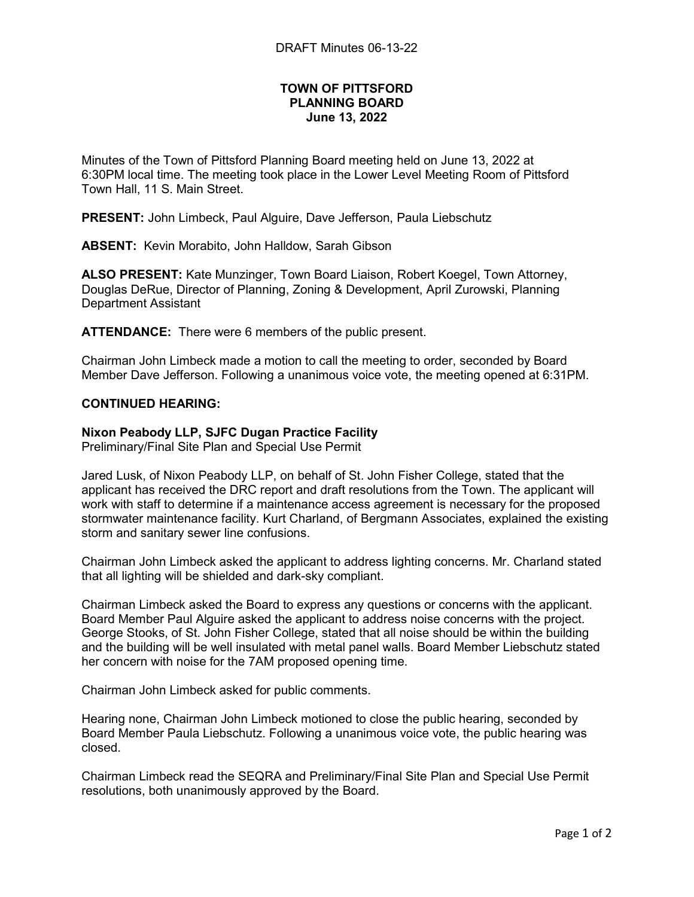# TOWN OF PITTSFORD PLANNING BOARD June 13, 2022

Minutes of the Town of Pittsford Planning Board meeting held on June 13, 2022 at 6:30PM local time. The meeting took place in the Lower Level Meeting Room of Pittsford Town Hall, 11 S. Main Street.

PRESENT: John Limbeck, Paul Alguire, Dave Jefferson, Paula Liebschutz

ABSENT: Kevin Morabito, John Halldow, Sarah Gibson

ALSO PRESENT: Kate Munzinger, Town Board Liaison, Robert Koegel, Town Attorney, Douglas DeRue, Director of Planning, Zoning & Development, April Zurowski, Planning Department Assistant

ATTENDANCE: There were 6 members of the public present.

Chairman John Limbeck made a motion to call the meeting to order, seconded by Board Member Dave Jefferson. Following a unanimous voice vote, the meeting opened at 6:31PM.

## CONTINUED HEARING:

## Nixon Peabody LLP, SJFC Dugan Practice Facility

Preliminary/Final Site Plan and Special Use Permit

Jared Lusk, of Nixon Peabody LLP, on behalf of St. John Fisher College, stated that the applicant has received the DRC report and draft resolutions from the Town. The applicant will work with staff to determine if a maintenance access agreement is necessary for the proposed stormwater maintenance facility. Kurt Charland, of Bergmann Associates, explained the existing storm and sanitary sewer line confusions.

Chairman John Limbeck asked the applicant to address lighting concerns. Mr. Charland stated that all lighting will be shielded and dark-sky compliant.

Chairman Limbeck asked the Board to express any questions or concerns with the applicant. Board Member Paul Alguire asked the applicant to address noise concerns with the project. George Stooks, of St. John Fisher College, stated that all noise should be within the building and the building will be well insulated with metal panel walls. Board Member Liebschutz stated her concern with noise for the 7AM proposed opening time.

Chairman John Limbeck asked for public comments.

Hearing none, Chairman John Limbeck motioned to close the public hearing, seconded by Board Member Paula Liebschutz. Following a unanimous voice vote, the public hearing was closed.

Chairman Limbeck read the SEQRA and Preliminary/Final Site Plan and Special Use Permit resolutions, both unanimously approved by the Board.